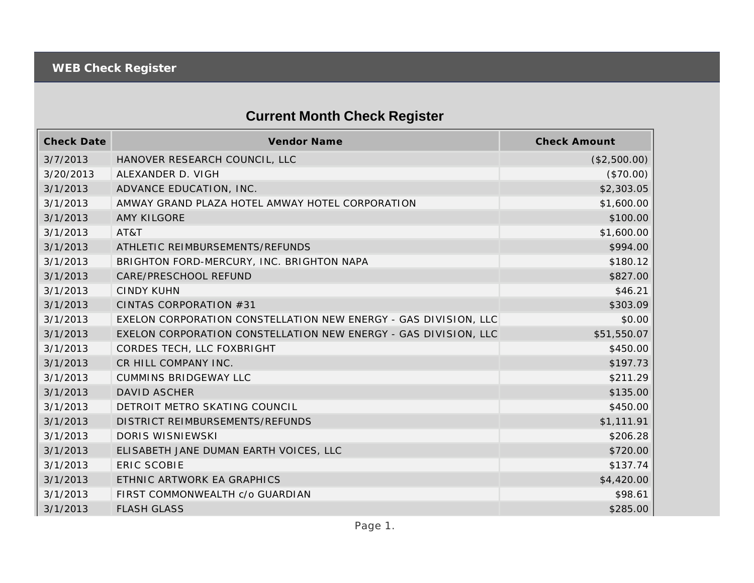## **Current Month Check Register**

| <b>Check Date</b> | Vendor Name                                                     | <b>Check Amount</b> |
|-------------------|-----------------------------------------------------------------|---------------------|
| 3/7/2013          | HANOVER RESEARCH COUNCIL, LLC                                   | (\$2,500.00)        |
| 3/20/2013         | ALEXANDER D. VIGH                                               | (\$70.00)           |
| 3/1/2013          | ADVANCE EDUCATION, INC.                                         | \$2,303.05          |
| 3/1/2013          | AMWAY GRAND PLAZA HOTEL AMWAY HOTEL CORPORATION                 | \$1,600.00          |
| 3/1/2013          | <b>AMY KILGORE</b>                                              | \$100.00            |
| 3/1/2013          | AT&T                                                            | \$1,600.00          |
| 3/1/2013          | ATHLETIC REIMBURSEMENTS/REFUNDS                                 | \$994.00            |
| 3/1/2013          | BRIGHTON FORD-MERCURY, INC. BRIGHTON NAPA                       | \$180.12            |
| 3/1/2013          | CARE/PRESCHOOL REFUND                                           | \$827.00            |
| 3/1/2013          | <b>CINDY KUHN</b>                                               | \$46.21             |
| 3/1/2013          | CINTAS CORPORATION #31                                          | \$303.09            |
| 3/1/2013          | EXELON CORPORATION CONSTELLATION NEW ENERGY - GAS DIVISION, LLC | \$0.00              |
| 3/1/2013          | EXELON CORPORATION CONSTELLATION NEW ENERGY - GAS DIVISION, LLC | \$51,550.07         |
| 3/1/2013          | CORDES TECH, LLC FOXBRIGHT                                      | \$450.00            |
| 3/1/2013          | CR HILL COMPANY INC.                                            | \$197.73            |
| 3/1/2013          | <b>CUMMINS BRIDGEWAY LLC</b>                                    | \$211.29            |
| 3/1/2013          | <b>DAVID ASCHER</b>                                             | \$135.00            |
| 3/1/2013          | DETROIT METRO SKATING COUNCIL                                   | \$450.00            |
| 3/1/2013          | DISTRICT REIMBURSEMENTS/REFUNDS                                 | \$1,111.91          |
| 3/1/2013          | DORIS WISNIEWSKI                                                | \$206.28            |
| 3/1/2013          | ELISABETH JANE DUMAN EARTH VOICES, LLC                          | \$720.00            |
| 3/1/2013          | <b>ERIC SCOBIE</b>                                              | \$137.74            |
| 3/1/2013          | ETHNIC ARTWORK EA GRAPHICS                                      | \$4,420.00          |
| 3/1/2013          | FIRST COMMONWEALTH c/o GUARDIAN                                 | \$98.61             |
| 3/1/2013          | <b>FLASH GLASS</b>                                              | \$285.00            |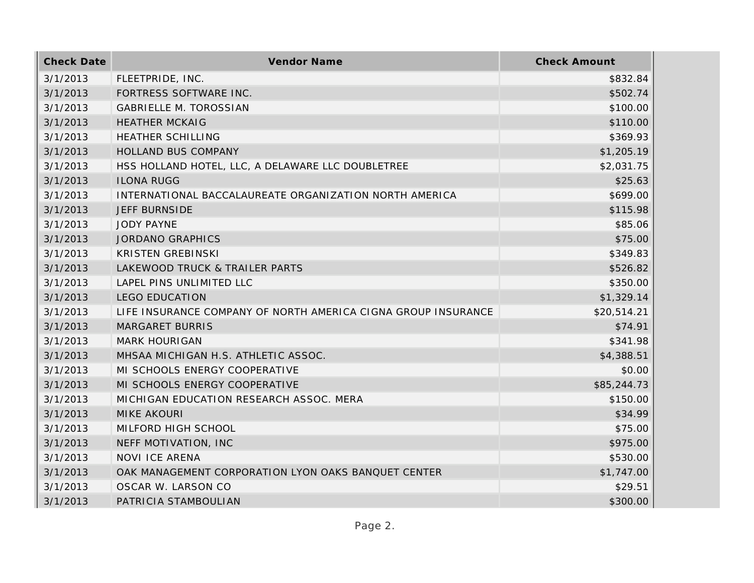| <b>Check Date</b> | Vendor Name                                                   | <b>Check Amount</b> |
|-------------------|---------------------------------------------------------------|---------------------|
| 3/1/2013          | FLEETPRIDE, INC.                                              | \$832.84            |
| 3/1/2013          | FORTRESS SOFTWARE INC.                                        | \$502.74            |
| 3/1/2013          | <b>GABRIELLE M. TOROSSIAN</b>                                 | \$100.00            |
| 3/1/2013          | <b>HEATHER MCKAIG</b>                                         | \$110.00            |
| 3/1/2013          | HEATHER SCHILLING                                             | \$369.93            |
| 3/1/2013          | HOLLAND BUS COMPANY                                           | \$1,205.19          |
| 3/1/2013          | HSS HOLLAND HOTEL, LLC, A DELAWARE LLC DOUBLETREE             | \$2,031.75          |
| 3/1/2013          | <b>ILONA RUGG</b>                                             | \$25.63             |
| 3/1/2013          | INTERNATIONAL BACCALAUREATE ORGANIZATION NORTH AMERICA        | \$699.00            |
| 3/1/2013          | <b>JEFF BURNSIDE</b>                                          | \$115.98            |
| 3/1/2013          | <b>JODY PAYNE</b>                                             | \$85.06             |
| 3/1/2013          | <b>JORDANO GRAPHICS</b>                                       | \$75.00             |
| 3/1/2013          | <b>KRISTEN GREBINSKI</b>                                      | \$349.83            |
| 3/1/2013          | LAKEWOOD TRUCK & TRAILER PARTS                                | \$526.82            |
| 3/1/2013          | LAPEL PINS UNLIMITED LLC                                      | \$350.00            |
| 3/1/2013          | <b>LEGO EDUCATION</b>                                         | \$1,329.14          |
| 3/1/2013          | LIFE INSURANCE COMPANY OF NORTH AMERICA CIGNA GROUP INSURANCE | \$20,514.21         |
| 3/1/2013          | <b>MARGARET BURRIS</b>                                        | \$74.91             |
| 3/1/2013          | <b>MARK HOURIGAN</b>                                          | \$341.98            |
| 3/1/2013          | MHSAA MICHIGAN H.S. ATHLETIC ASSOC.                           | \$4,388.51          |
| 3/1/2013          | MI SCHOOLS ENERGY COOPERATIVE                                 | \$0.00              |
| 3/1/2013          | MI SCHOOLS ENERGY COOPERATIVE                                 | \$85,244.73         |
| 3/1/2013          | MICHIGAN EDUCATION RESEARCH ASSOC. MERA                       | \$150.00            |
| 3/1/2013          | <b>MIKE AKOURI</b>                                            | \$34.99             |
| 3/1/2013          | MILFORD HIGH SCHOOL                                           | \$75.00             |
| 3/1/2013          | NEFF MOTIVATION, INC                                          | \$975.00            |
| 3/1/2013          | <b>NOVI ICE ARENA</b>                                         | \$530.00            |
| 3/1/2013          | OAK MANAGEMENT CORPORATION LYON OAKS BANQUET CENTER           | \$1,747.00          |
| 3/1/2013          | OSCAR W. LARSON CO                                            | \$29.51             |
| 3/1/2013          | PATRICIA STAMBOULIAN                                          | \$300.00            |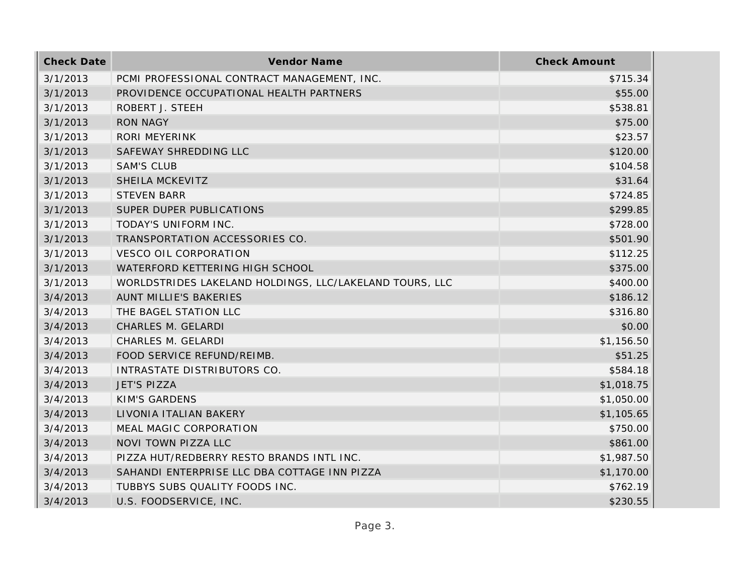| <b>Check Date</b> | <b>Vendor Name</b>                                      | <b>Check Amount</b> |
|-------------------|---------------------------------------------------------|---------------------|
| 3/1/2013          | PCMI PROFESSIONAL CONTRACT MANAGEMENT, INC.             | \$715.34            |
| 3/1/2013          | PROVIDENCE OCCUPATIONAL HEALTH PARTNERS                 | \$55.00             |
| 3/1/2013          | ROBERT J. STEEH                                         | \$538.81            |
| 3/1/2013          | <b>RON NAGY</b>                                         | \$75.00             |
| 3/1/2013          | RORI MEYERINK                                           | \$23.57             |
| 3/1/2013          | SAFEWAY SHREDDING LLC                                   | \$120.00            |
| 3/1/2013          | <b>SAM'S CLUB</b>                                       | \$104.58            |
| 3/1/2013          | SHEILA MCKEVITZ                                         | \$31.64             |
| 3/1/2013          | <b>STEVEN BARR</b>                                      | \$724.85            |
| 3/1/2013          | SUPER DUPER PUBLICATIONS                                | \$299.85            |
| 3/1/2013          | TODAY'S UNIFORM INC.                                    | \$728.00            |
| 3/1/2013          | TRANSPORTATION ACCESSORIES CO.                          | \$501.90            |
| 3/1/2013          | <b>VESCO OIL CORPORATION</b>                            | \$112.25            |
| 3/1/2013          | WATERFORD KETTERING HIGH SCHOOL                         | \$375.00            |
| 3/1/2013          | WORLDSTRIDES LAKELAND HOLDINGS, LLC/LAKELAND TOURS, LLC | \$400.00            |
| 3/4/2013          | <b>AUNT MILLIE'S BAKERIES</b>                           | \$186.12            |
| 3/4/2013          | THE BAGEL STATION LLC                                   | \$316.80            |
| 3/4/2013          | CHARLES M. GELARDI                                      | \$0.00              |
| 3/4/2013          | CHARLES M. GELARDI                                      | \$1,156.50          |
| 3/4/2013          | FOOD SERVICE REFUND/REIMB.                              | \$51.25             |
| 3/4/2013          | INTRASTATE DISTRIBUTORS CO.                             | \$584.18            |
| 3/4/2013          | <b>JET'S PIZZA</b>                                      | \$1,018.75          |
| 3/4/2013          | <b>KIM'S GARDENS</b>                                    | \$1,050.00          |
| 3/4/2013          | LIVONIA ITALIAN BAKERY                                  | \$1,105.65          |
| 3/4/2013          | MEAL MAGIC CORPORATION                                  | \$750.00            |
| 3/4/2013          | NOVI TOWN PIZZA LLC                                     | \$861.00            |
| 3/4/2013          | PIZZA HUT/REDBERRY RESTO BRANDS INTL INC.               | \$1,987.50          |
| 3/4/2013          | SAHANDI ENTERPRISE LLC DBA COTTAGE INN PIZZA            | \$1,170.00          |
| 3/4/2013          | TUBBYS SUBS QUALITY FOODS INC.                          | \$762.19            |
| 3/4/2013          | U.S. FOODSERVICE, INC.                                  | \$230.55            |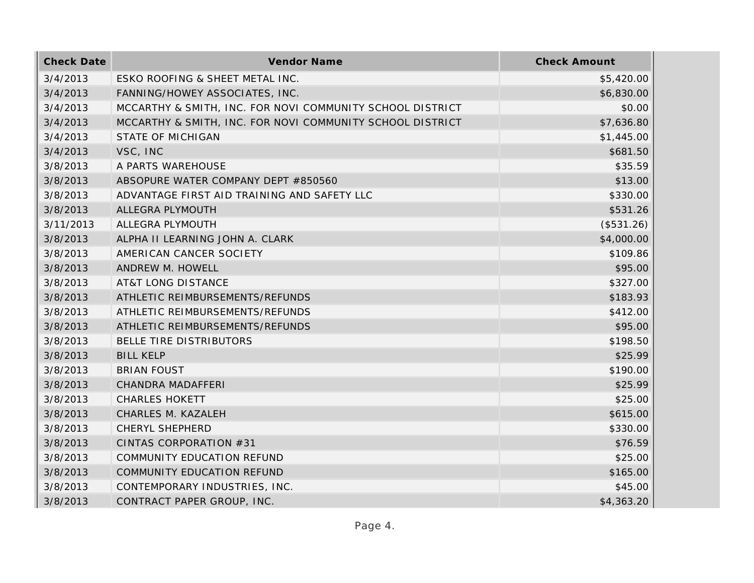| <b>Check Date</b> | Vendor Name                                               | <b>Check Amount</b> |
|-------------------|-----------------------------------------------------------|---------------------|
| 3/4/2013          | ESKO ROOFING & SHEET METAL INC.                           | \$5,420.00          |
| 3/4/2013          | FANNING/HOWEY ASSOCIATES, INC.                            | \$6,830.00          |
| 3/4/2013          | MCCARTHY & SMITH, INC. FOR NOVI COMMUNITY SCHOOL DISTRICT | \$0.00              |
| 3/4/2013          | MCCARTHY & SMITH, INC. FOR NOVI COMMUNITY SCHOOL DISTRICT | \$7,636.80          |
| 3/4/2013          | <b>STATE OF MICHIGAN</b>                                  | \$1,445.00          |
| 3/4/2013          | VSC, INC                                                  | \$681.50            |
| 3/8/2013          | A PARTS WAREHOUSE                                         | \$35.59             |
| 3/8/2013          | ABSOPURE WATER COMPANY DEPT #850560                       | \$13.00             |
| 3/8/2013          | ADVANTAGE FIRST AID TRAINING AND SAFETY LLC               | \$330.00            |
| 3/8/2013          | ALLEGRA PLYMOUTH                                          | \$531.26            |
| 3/11/2013         | ALLEGRA PLYMOUTH                                          | (\$531.26)          |
| 3/8/2013          | ALPHA II LEARNING JOHN A. CLARK                           | \$4,000.00          |
| 3/8/2013          | AMERICAN CANCER SOCIETY                                   | \$109.86            |
| 3/8/2013          | ANDREW M. HOWELL                                          | \$95.00             |
| 3/8/2013          | AT&T LONG DISTANCE                                        | \$327.00            |
| 3/8/2013          | ATHLETIC REIMBURSEMENTS/REFUNDS                           | \$183.93            |
| 3/8/2013          | ATHLETIC REIMBURSEMENTS/REFUNDS                           | \$412.00            |
| 3/8/2013          | ATHLETIC REIMBURSEMENTS/REFUNDS                           | \$95.00             |
| 3/8/2013          | BELLE TIRE DISTRIBUTORS                                   | \$198.50            |
| 3/8/2013          | <b>BILL KELP</b>                                          | \$25.99             |
| 3/8/2013          | <b>BRIAN FOUST</b>                                        | \$190.00            |
| 3/8/2013          | CHANDRA MADAFFERI                                         | \$25.99             |
| 3/8/2013          | <b>CHARLES HOKETT</b>                                     | \$25.00             |
| 3/8/2013          | CHARLES M. KAZALEH                                        | \$615.00            |
| 3/8/2013          | CHERYL SHEPHERD                                           | \$330.00            |
| 3/8/2013          | CINTAS CORPORATION #31                                    | \$76.59             |
| 3/8/2013          | COMMUNITY EDUCATION REFUND                                | \$25.00             |
| 3/8/2013          | <b>COMMUNITY EDUCATION REFUND</b>                         | \$165.00            |
| 3/8/2013          | CONTEMPORARY INDUSTRIES, INC.                             | \$45.00             |
| 3/8/2013          | CONTRACT PAPER GROUP, INC.                                | \$4,363.20          |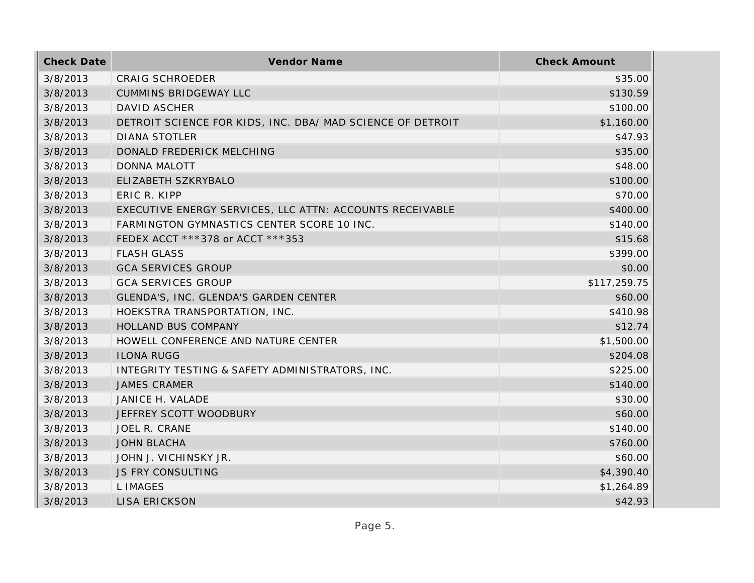| <b>Check Date</b> | Vendor Name                                                | <b>Check Amount</b> |
|-------------------|------------------------------------------------------------|---------------------|
| 3/8/2013          | <b>CRAIG SCHROEDER</b>                                     | \$35.00             |
| 3/8/2013          | <b>CUMMINS BRIDGEWAY LLC</b>                               | \$130.59            |
| 3/8/2013          | <b>DAVID ASCHER</b>                                        | \$100.00            |
| 3/8/2013          | DETROIT SCIENCE FOR KIDS, INC. DBA/ MAD SCIENCE OF DETROIT | \$1,160.00          |
| 3/8/2013          | <b>DIANA STOTLER</b>                                       | \$47.93             |
| 3/8/2013          | DONALD FREDERICK MELCHING                                  | \$35.00             |
| 3/8/2013          | <b>DONNA MALOTT</b>                                        | \$48.00             |
| 3/8/2013          | ELIZABETH SZKRYBALO                                        | \$100.00            |
| 3/8/2013          | ERIC R. KIPP                                               | \$70.00             |
| 3/8/2013          | EXECUTIVE ENERGY SERVICES, LLC ATTN: ACCOUNTS RECEIVABLE   | \$400.00            |
| 3/8/2013          | FARMINGTON GYMNASTICS CENTER SCORE 10 INC.                 | \$140.00            |
| 3/8/2013          | FEDEX ACCT ***378 or ACCT ***353                           | \$15.68             |
| 3/8/2013          | <b>FLASH GLASS</b>                                         | \$399.00            |
| 3/8/2013          | <b>GCA SERVICES GROUP</b>                                  | \$0.00              |
| 3/8/2013          | <b>GCA SERVICES GROUP</b>                                  | \$117,259.75        |
| 3/8/2013          | GLENDA'S, INC. GLENDA'S GARDEN CENTER                      | \$60.00             |
| 3/8/2013          | HOEKSTRA TRANSPORTATION, INC.                              | \$410.98            |
| 3/8/2013          | HOLLAND BUS COMPANY                                        | \$12.74             |
| 3/8/2013          | HOWELL CONFERENCE AND NATURE CENTER                        | \$1,500.00          |
| 3/8/2013          | <b>ILONA RUGG</b>                                          | \$204.08            |
| 3/8/2013          | INTEGRITY TESTING & SAFETY ADMINISTRATORS, INC.            | \$225.00            |
| 3/8/2013          | <b>JAMES CRAMER</b>                                        | \$140.00            |
| 3/8/2013          | JANICE H. VALADE                                           | \$30.00             |
| 3/8/2013          | JEFFREY SCOTT WOODBURY                                     | \$60.00             |
| 3/8/2013          | JOEL R. CRANE                                              | \$140.00            |
| 3/8/2013          | <b>JOHN BLACHA</b>                                         | \$760.00            |
| 3/8/2013          | JOHN J. VICHINSKY JR.                                      | \$60.00             |
| 3/8/2013          | <b>JS FRY CONSULTING</b>                                   | \$4,390.40          |
| 3/8/2013          | L IMAGES                                                   | \$1,264.89          |
| 3/8/2013          | <b>LISA ERICKSON</b>                                       | \$42.93             |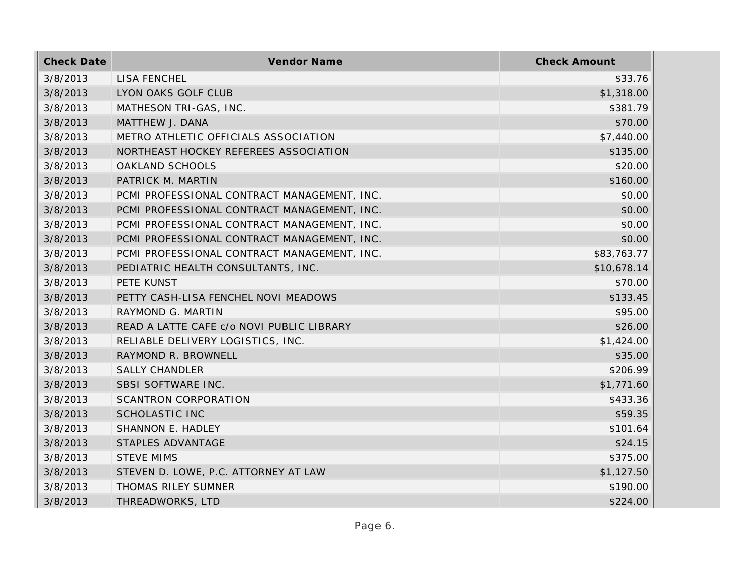| <b>Check Date</b> | Vendor Name                                 | <b>Check Amount</b> |
|-------------------|---------------------------------------------|---------------------|
| 3/8/2013          | LISA FENCHEL                                | \$33.76             |
| 3/8/2013          | LYON OAKS GOLF CLUB                         | \$1,318.00          |
| 3/8/2013          | MATHESON TRI-GAS, INC.                      | \$381.79            |
| 3/8/2013          | MATTHEW J. DANA                             | \$70.00             |
| 3/8/2013          | METRO ATHLETIC OFFICIALS ASSOCIATION        | \$7,440.00          |
| 3/8/2013          | NORTHEAST HOCKEY REFEREES ASSOCIATION       | \$135.00            |
| 3/8/2013          | OAKLAND SCHOOLS                             | \$20.00             |
| 3/8/2013          | PATRICK M. MARTIN                           | \$160.00            |
| 3/8/2013          | PCMI PROFESSIONAL CONTRACT MANAGEMENT, INC. | \$0.00              |
| 3/8/2013          | PCMI PROFESSIONAL CONTRACT MANAGEMENT, INC. | \$0.00              |
| 3/8/2013          | PCMI PROFESSIONAL CONTRACT MANAGEMENT, INC. | \$0.00              |
| 3/8/2013          | PCMI PROFESSIONAL CONTRACT MANAGEMENT, INC. | \$0.00              |
| 3/8/2013          | PCMI PROFESSIONAL CONTRACT MANAGEMENT, INC. | \$83,763.77         |
| 3/8/2013          | PEDIATRIC HEALTH CONSULTANTS, INC.          | \$10,678.14         |
| 3/8/2013          | PETE KUNST                                  | \$70.00             |
| 3/8/2013          | PETTY CASH-LISA FENCHEL NOVI MEADOWS        | \$133.45            |
| 3/8/2013          | RAYMOND G. MARTIN                           | \$95.00             |
| 3/8/2013          | READ A LATTE CAFE c/o NOVI PUBLIC LIBRARY   | \$26.00             |
| 3/8/2013          | RELIABLE DELIVERY LOGISTICS, INC.           | \$1,424.00          |
| 3/8/2013          | RAYMOND R. BROWNELL                         | \$35.00             |
| 3/8/2013          | <b>SALLY CHANDLER</b>                       | \$206.99            |
| 3/8/2013          | SBSI SOFTWARE INC.                          | \$1,771.60          |
| 3/8/2013          | <b>SCANTRON CORPORATION</b>                 | \$433.36            |
| 3/8/2013          | <b>SCHOLASTIC INC</b>                       | \$59.35             |
| 3/8/2013          | SHANNON E. HADLEY                           | \$101.64            |
| 3/8/2013          | STAPLES ADVANTAGE                           | \$24.15             |
| 3/8/2013          | <b>STEVE MIMS</b>                           | \$375.00            |
| 3/8/2013          | STEVEN D. LOWE, P.C. ATTORNEY AT LAW        | \$1,127.50          |
| 3/8/2013          | THOMAS RILEY SUMNER                         | \$190.00            |
| 3/8/2013          | THREADWORKS, LTD                            | \$224.00            |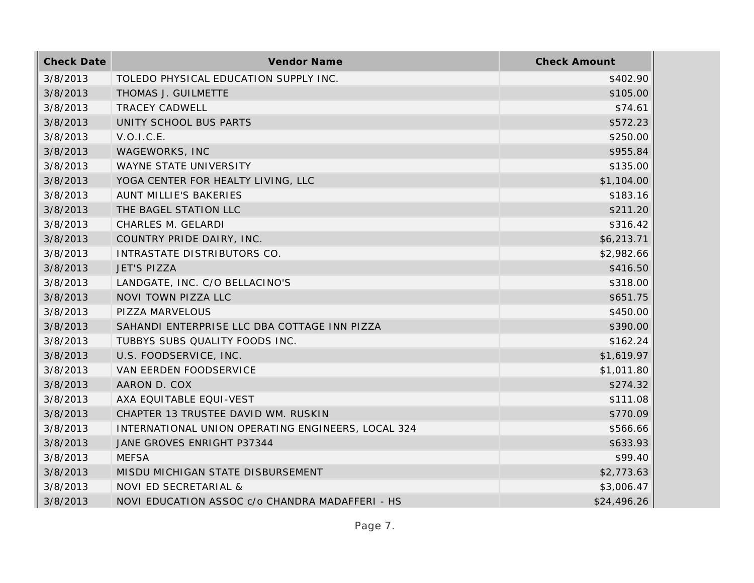| <b>Check Date</b> | <b>Vendor Name</b>                                 | <b>Check Amount</b> |
|-------------------|----------------------------------------------------|---------------------|
| 3/8/2013          | TOLEDO PHYSICAL EDUCATION SUPPLY INC.              | \$402.90            |
| 3/8/2013          | THOMAS J. GUILMETTE                                | \$105.00            |
| 3/8/2013          | <b>TRACEY CADWELL</b>                              | \$74.61             |
| 3/8/2013          | UNITY SCHOOL BUS PARTS                             | \$572.23            |
| 3/8/2013          | V.O.I.C.E.                                         | \$250.00            |
| 3/8/2013          | WAGEWORKS, INC                                     | \$955.84            |
| 3/8/2013          | WAYNE STATE UNIVERSITY                             | \$135.00            |
| 3/8/2013          | YOGA CENTER FOR HEALTY LIVING, LLC                 | \$1,104.00          |
| 3/8/2013          | AUNT MILLIE'S BAKERIES                             | \$183.16            |
| 3/8/2013          | THE BAGEL STATION LLC                              | \$211.20            |
| 3/8/2013          | CHARLES M. GELARDI                                 | \$316.42            |
| 3/8/2013          | COUNTRY PRIDE DAIRY, INC.                          | \$6,213.71          |
| 3/8/2013          | INTRASTATE DISTRIBUTORS CO.                        | \$2,982.66          |
| 3/8/2013          | <b>JET'S PIZZA</b>                                 | \$416.50            |
| 3/8/2013          | LANDGATE, INC. C/O BELLACINO'S                     | \$318.00            |
| 3/8/2013          | NOVI TOWN PIZZA LLC                                | \$651.75            |
| 3/8/2013          | PIZZA MARVELOUS                                    | \$450.00            |
| 3/8/2013          | SAHANDI ENTERPRISE LLC DBA COTTAGE INN PIZZA       | \$390.00            |
| 3/8/2013          | TUBBYS SUBS QUALITY FOODS INC.                     | \$162.24            |
| 3/8/2013          | U.S. FOODSERVICE, INC.                             | \$1,619.97          |
| 3/8/2013          | VAN EERDEN FOODSERVICE                             | \$1,011.80          |
| 3/8/2013          | AARON D. COX                                       | \$274.32            |
| 3/8/2013          | AXA EQUITABLE EQUI-VEST                            | \$111.08            |
| 3/8/2013          | CHAPTER 13 TRUSTEE DAVID WM. RUSKIN                | \$770.09            |
| 3/8/2013          | INTERNATIONAL UNION OPERATING ENGINEERS, LOCAL 324 | \$566.66            |
| 3/8/2013          | JANE GROVES ENRIGHT P37344                         | \$633.93            |
| 3/8/2013          | <b>MEFSA</b>                                       | \$99.40             |
| 3/8/2013          | MISDU MICHIGAN STATE DISBURSEMENT                  | \$2,773.63          |
| 3/8/2013          | NOVI ED SECRETARIAL &                              | \$3,006.47          |
| 3/8/2013          | NOVI EDUCATION ASSOC c/o CHANDRA MADAFFERI - HS    | \$24,496.26         |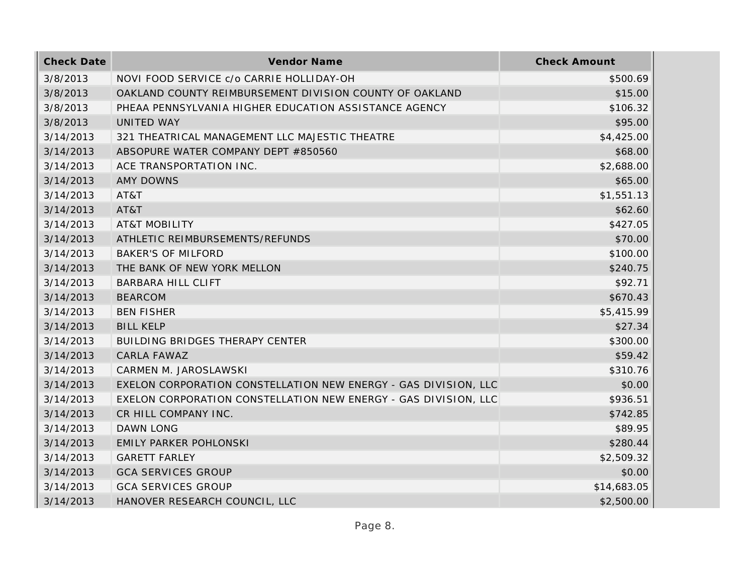| <b>Check Date</b> | Vendor Name                                                     | <b>Check Amount</b> |
|-------------------|-----------------------------------------------------------------|---------------------|
| 3/8/2013          | NOVI FOOD SERVICE c/o CARRIE HOLLIDAY-OH                        | \$500.69            |
| 3/8/2013          | OAKLAND COUNTY REIMBURSEMENT DIVISION COUNTY OF OAKLAND         | \$15.00             |
| 3/8/2013          | PHEAA PENNSYLVANIA HIGHER EDUCATION ASSISTANCE AGENCY           | \$106.32            |
| 3/8/2013          | UNITED WAY                                                      | \$95.00             |
| 3/14/2013         | 321 THEATRICAL MANAGEMENT LLC MAJESTIC THEATRE                  | \$4,425.00          |
| 3/14/2013         | ABSOPURE WATER COMPANY DEPT #850560                             | \$68.00             |
| 3/14/2013         | ACE TRANSPORTATION INC.                                         | \$2,688.00          |
| 3/14/2013         | <b>AMY DOWNS</b>                                                | \$65.00             |
| 3/14/2013         | AT&T                                                            | \$1,551.13          |
| 3/14/2013         | AT&T                                                            | \$62.60             |
| 3/14/2013         | <b>AT&amp;T MOBILITY</b>                                        | \$427.05            |
| 3/14/2013         | ATHLETIC REIMBURSEMENTS/REFUNDS                                 | \$70.00             |
| 3/14/2013         | <b>BAKER'S OF MILFORD</b>                                       | \$100.00            |
| 3/14/2013         | THE BANK OF NEW YORK MELLON                                     | \$240.75            |
| 3/14/2013         | <b>BARBARA HILL CLIFT</b>                                       | \$92.71             |
| 3/14/2013         | <b>BEARCOM</b>                                                  | \$670.43            |
| 3/14/2013         | <b>BEN FISHER</b>                                               | \$5,415.99          |
| 3/14/2013         | <b>BILL KELP</b>                                                | \$27.34             |
| 3/14/2013         | BUILDING BRIDGES THERAPY CENTER                                 | \$300.00            |
| 3/14/2013         | CARLA FAWAZ                                                     | \$59.42             |
| 3/14/2013         | CARMEN M. JAROSLAWSKI                                           | \$310.76            |
| 3/14/2013         | EXELON CORPORATION CONSTELLATION NEW ENERGY - GAS DIVISION, LLC | \$0.00              |
| 3/14/2013         | EXELON CORPORATION CONSTELLATION NEW ENERGY - GAS DIVISION, LLC | \$936.51            |
| 3/14/2013         | CR HILL COMPANY INC.                                            | \$742.85            |
| 3/14/2013         | <b>DAWN LONG</b>                                                | \$89.95             |
| 3/14/2013         | <b>EMILY PARKER POHLONSKI</b>                                   | \$280.44            |
| 3/14/2013         | <b>GARETT FARLEY</b>                                            | \$2,509.32          |
| 3/14/2013         | <b>GCA SERVICES GROUP</b>                                       | \$0.00              |
| 3/14/2013         | <b>GCA SERVICES GROUP</b>                                       | \$14,683.05         |
| 3/14/2013         | HANOVER RESEARCH COUNCIL, LLC                                   | \$2,500.00          |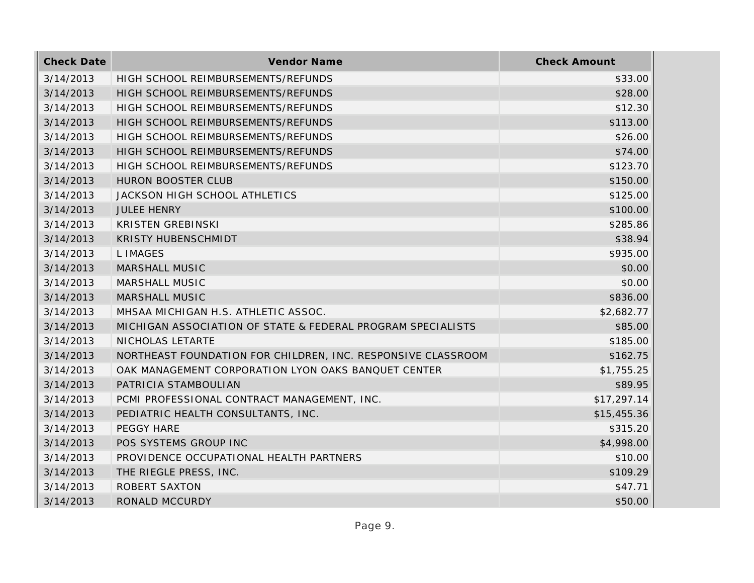| <b>Check Date</b> | Vendor Name                                                  | <b>Check Amount</b> |
|-------------------|--------------------------------------------------------------|---------------------|
| 3/14/2013         | HIGH SCHOOL REIMBURSEMENTS/REFUNDS                           | \$33.00             |
| 3/14/2013         | HIGH SCHOOL REIMBURSEMENTS/REFUNDS                           | \$28.00             |
| 3/14/2013         | HIGH SCHOOL REIMBURSEMENTS/REFUNDS                           | \$12.30             |
| 3/14/2013         | HIGH SCHOOL REIMBURSEMENTS/REFUNDS                           | \$113.00            |
| 3/14/2013         | HIGH SCHOOL REIMBURSEMENTS/REFUNDS                           | \$26.00             |
| 3/14/2013         | HIGH SCHOOL REIMBURSEMENTS/REFUNDS                           | \$74.00             |
| 3/14/2013         | HIGH SCHOOL REIMBURSEMENTS/REFUNDS                           | \$123.70            |
| 3/14/2013         | <b>HURON BOOSTER CLUB</b>                                    | \$150.00            |
| 3/14/2013         | JACKSON HIGH SCHOOL ATHLETICS                                | \$125.00            |
| 3/14/2013         | <b>JULEE HENRY</b>                                           | \$100.00            |
| 3/14/2013         | <b>KRISTEN GREBINSKI</b>                                     | \$285.86            |
| 3/14/2013         | KRISTY HUBENSCHMIDT                                          | \$38.94             |
| 3/14/2013         | L IMAGES                                                     | \$935.00            |
| 3/14/2013         | MARSHALL MUSIC                                               | \$0.00              |
| 3/14/2013         | MARSHALL MUSIC                                               | \$0.00              |
| 3/14/2013         | MARSHALL MUSIC                                               | \$836.00            |
| 3/14/2013         | MHSAA MICHIGAN H.S. ATHLETIC ASSOC.                          | \$2,682.77          |
| 3/14/2013         | MICHIGAN ASSOCIATION OF STATE & FEDERAL PROGRAM SPECIALISTS  | \$85.00             |
| 3/14/2013         | NICHOLAS LETARTE                                             | \$185.00            |
| 3/14/2013         | NORTHEAST FOUNDATION FOR CHILDREN, INC. RESPONSIVE CLASSROOM | \$162.75            |
| 3/14/2013         | OAK MANAGEMENT CORPORATION LYON OAKS BANQUET CENTER          | \$1,755.25          |
| 3/14/2013         | PATRICIA STAMBOULIAN                                         | \$89.95             |
| 3/14/2013         | PCMI PROFESSIONAL CONTRACT MANAGEMENT, INC.                  | \$17,297.14         |
| 3/14/2013         | PEDIATRIC HEALTH CONSULTANTS, INC.                           | \$15,455.36         |
| 3/14/2013         | PEGGY HARE                                                   | \$315.20            |
| 3/14/2013         | POS SYSTEMS GROUP INC                                        | \$4,998.00          |
| 3/14/2013         | PROVIDENCE OCCUPATIONAL HEALTH PARTNERS                      | \$10.00             |
| 3/14/2013         | THE RIEGLE PRESS, INC.                                       | \$109.29            |
| 3/14/2013         | ROBERT SAXTON                                                | \$47.71             |
| 3/14/2013         | RONALD MCCURDY                                               | \$50.00             |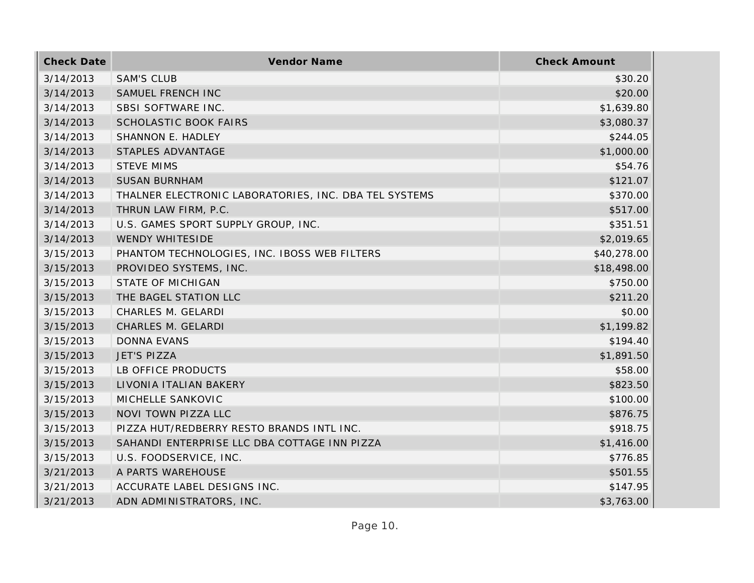| <b>Check Date</b> | Vendor Name                                           | <b>Check Amount</b> |
|-------------------|-------------------------------------------------------|---------------------|
| 3/14/2013         | <b>SAM'S CLUB</b>                                     | \$30.20             |
| 3/14/2013         | SAMUEL FRENCH INC                                     | \$20.00             |
| 3/14/2013         | SBSI SOFTWARE INC.                                    | \$1,639.80          |
| 3/14/2013         | <b>SCHOLASTIC BOOK FAIRS</b>                          | \$3,080.37          |
| 3/14/2013         | SHANNON E. HADLEY                                     | \$244.05            |
| 3/14/2013         | STAPLES ADVANTAGE                                     | \$1,000.00          |
| 3/14/2013         | <b>STEVE MIMS</b>                                     | \$54.76             |
| 3/14/2013         | <b>SUSAN BURNHAM</b>                                  | \$121.07            |
| 3/14/2013         | THALNER ELECTRONIC LABORATORIES, INC. DBA TEL SYSTEMS | \$370.00            |
| 3/14/2013         | THRUN LAW FIRM, P.C.                                  | \$517.00            |
| 3/14/2013         | U.S. GAMES SPORT SUPPLY GROUP, INC.                   | \$351.51            |
| 3/14/2013         | WENDY WHITESIDE                                       | \$2,019.65          |
| 3/15/2013         | PHANTOM TECHNOLOGIES, INC. IBOSS WEB FILTERS          | \$40,278.00         |
| 3/15/2013         | PROVIDEO SYSTEMS, INC.                                | \$18,498.00         |
| 3/15/2013         | <b>STATE OF MICHIGAN</b>                              | \$750.00            |
| 3/15/2013         | THE BAGEL STATION LLC                                 | \$211.20            |
| 3/15/2013         | CHARLES M. GELARDI                                    | \$0.00              |
| 3/15/2013         | CHARLES M. GELARDI                                    | \$1,199.82          |
| 3/15/2013         | <b>DONNA EVANS</b>                                    | \$194.40            |
| 3/15/2013         | <b>JET'S PIZZA</b>                                    | \$1,891.50          |
| 3/15/2013         | LB OFFICE PRODUCTS                                    | \$58.00             |
| 3/15/2013         | LIVONIA ITALIAN BAKERY                                | \$823.50            |
| 3/15/2013         | MICHELLE SANKOVIC                                     | \$100.00            |
| 3/15/2013         | NOVI TOWN PIZZA LLC                                   | \$876.75            |
| 3/15/2013         | PIZZA HUT/REDBERRY RESTO BRANDS INTL INC.             | \$918.75            |
| 3/15/2013         | SAHANDI ENTERPRISE LLC DBA COTTAGE INN PIZZA          | \$1,416.00          |
| 3/15/2013         | U.S. FOODSERVICE, INC.                                | \$776.85            |
| 3/21/2013         | A PARTS WAREHOUSE                                     | \$501.55            |
| 3/21/2013         | ACCURATE LABEL DESIGNS INC.                           | \$147.95            |
| 3/21/2013         | ADN ADMINISTRATORS, INC.                              | \$3,763.00          |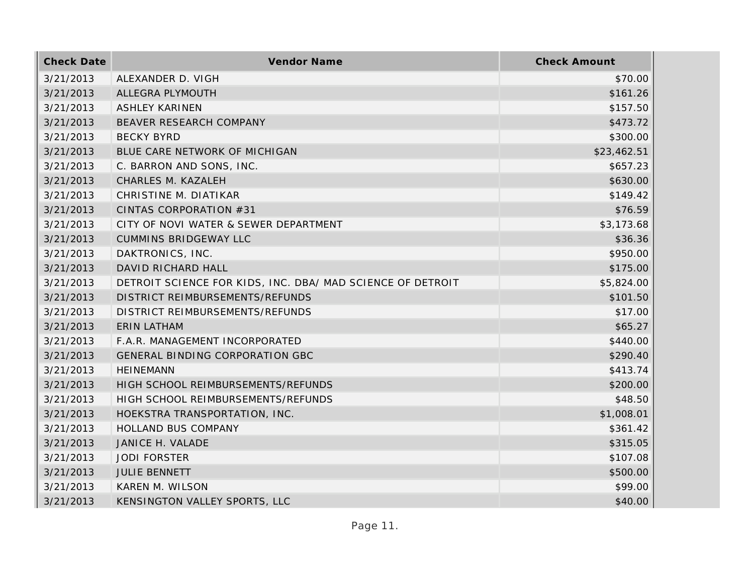| <b>Check Date</b> | Vendor Name                                                | <b>Check Amount</b> |
|-------------------|------------------------------------------------------------|---------------------|
| 3/21/2013         | ALEXANDER D. VIGH                                          | \$70.00             |
| 3/21/2013         | ALLEGRA PLYMOUTH                                           | \$161.26            |
| 3/21/2013         | <b>ASHLEY KARINEN</b>                                      | \$157.50            |
| 3/21/2013         | BEAVER RESEARCH COMPANY                                    | \$473.72            |
| 3/21/2013         | <b>BECKY BYRD</b>                                          | \$300.00            |
| 3/21/2013         | BLUE CARE NETWORK OF MICHIGAN                              | \$23,462.51         |
| 3/21/2013         | C. BARRON AND SONS, INC.                                   | \$657.23            |
| 3/21/2013         | CHARLES M. KAZALEH                                         | \$630.00            |
| 3/21/2013         | CHRISTINE M. DIATIKAR                                      | \$149.42            |
| 3/21/2013         | CINTAS CORPORATION #31                                     | \$76.59             |
| 3/21/2013         | CITY OF NOVI WATER & SEWER DEPARTMENT                      | \$3,173.68          |
| 3/21/2013         | <b>CUMMINS BRIDGEWAY LLC</b>                               | \$36.36             |
| 3/21/2013         | DAKTRONICS, INC.                                           | \$950.00            |
| 3/21/2013         | DAVID RICHARD HALL                                         | \$175.00            |
| 3/21/2013         | DETROIT SCIENCE FOR KIDS, INC. DBA/ MAD SCIENCE OF DETROIT | \$5,824.00          |
| 3/21/2013         | DISTRICT REIMBURSEMENTS/REFUNDS                            | \$101.50            |
| 3/21/2013         | DISTRICT REIMBURSEMENTS/REFUNDS                            | \$17.00             |
| 3/21/2013         | <b>ERIN LATHAM</b>                                         | \$65.27             |
| 3/21/2013         | F.A.R. MANAGEMENT INCORPORATED                             | \$440.00            |
| 3/21/2013         | GENERAL BINDING CORPORATION GBC                            | \$290.40            |
| 3/21/2013         | <b>HEINEMANN</b>                                           | \$413.74            |
| 3/21/2013         | HIGH SCHOOL REIMBURSEMENTS/REFUNDS                         | \$200.00            |
| 3/21/2013         | HIGH SCHOOL REIMBURSEMENTS/REFUNDS                         | \$48.50             |
| 3/21/2013         | HOEKSTRA TRANSPORTATION, INC.                              | \$1,008.01          |
| 3/21/2013         | HOLLAND BUS COMPANY                                        | \$361.42            |
| 3/21/2013         | JANICE H. VALADE                                           | \$315.05            |
| 3/21/2013         | <b>JODI FORSTER</b>                                        | \$107.08            |
| 3/21/2013         | <b>JULIE BENNETT</b>                                       | \$500.00            |
| 3/21/2013         | KAREN M. WILSON                                            | \$99.00             |
| 3/21/2013         | KENSINGTON VALLEY SPORTS, LLC                              | \$40.00             |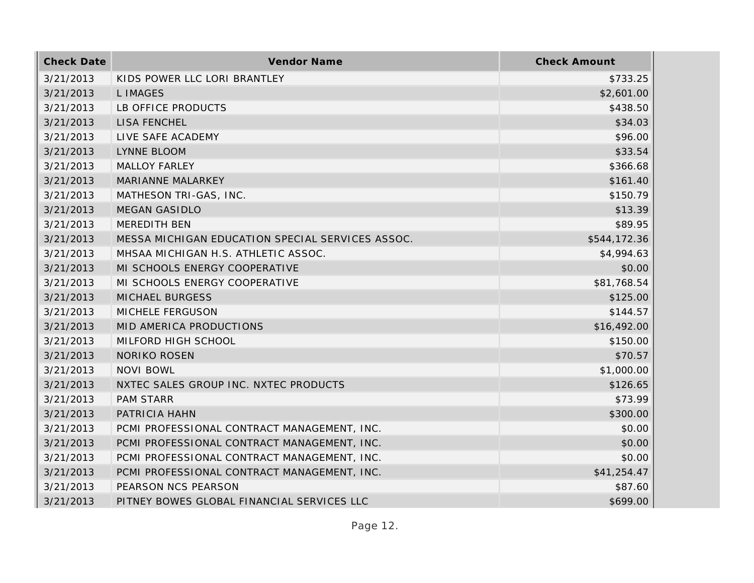| <b>Check Date</b> | <b>Vendor Name</b>                               | <b>Check Amount</b> |
|-------------------|--------------------------------------------------|---------------------|
| 3/21/2013         | KIDS POWER LLC LORI BRANTLEY                     | \$733.25            |
| 3/21/2013         | <b>LIMAGES</b>                                   | \$2,601.00          |
| 3/21/2013         | LB OFFICE PRODUCTS                               | \$438.50            |
| 3/21/2013         | <b>LISA FENCHEL</b>                              | \$34.03             |
| 3/21/2013         | LIVE SAFE ACADEMY                                | \$96.00             |
| 3/21/2013         | LYNNE BLOOM                                      | \$33.54             |
| 3/21/2013         | <b>MALLOY FARLEY</b>                             | \$366.68            |
| 3/21/2013         | MARIANNE MALARKEY                                | \$161.40            |
| 3/21/2013         | MATHESON TRI-GAS, INC.                           | \$150.79            |
| 3/21/2013         | <b>MEGAN GASIDLO</b>                             | \$13.39             |
| 3/21/2013         | <b>MEREDITH BEN</b>                              | \$89.95             |
| 3/21/2013         | MESSA MICHIGAN EDUCATION SPECIAL SERVICES ASSOC. | \$544,172.36        |
| 3/21/2013         | MHSAA MICHIGAN H.S. ATHLETIC ASSOC.              | \$4,994.63          |
| 3/21/2013         | MI SCHOOLS ENERGY COOPERATIVE                    | \$0.00              |
| 3/21/2013         | MI SCHOOLS ENERGY COOPERATIVE                    | \$81,768.54         |
| 3/21/2013         | <b>MICHAEL BURGESS</b>                           | \$125.00            |
| 3/21/2013         | MICHELE FERGUSON                                 | \$144.57            |
| 3/21/2013         | MID AMERICA PRODUCTIONS                          | \$16,492.00         |
| 3/21/2013         | MILFORD HIGH SCHOOL                              | \$150.00            |
| 3/21/2013         | <b>NORIKO ROSEN</b>                              | \$70.57             |
| 3/21/2013         | <b>NOVI BOWL</b>                                 | \$1,000.00          |
| 3/21/2013         | NXTEC SALES GROUP INC. NXTEC PRODUCTS            | \$126.65            |
| 3/21/2013         | <b>PAM STARR</b>                                 | \$73.99             |
| 3/21/2013         | PATRICIA HAHN                                    | \$300.00            |
| 3/21/2013         | PCMI PROFESSIONAL CONTRACT MANAGEMENT, INC.      | \$0.00              |
| 3/21/2013         | PCMI PROFESSIONAL CONTRACT MANAGEMENT, INC.      | \$0.00              |
| 3/21/2013         | PCMI PROFESSIONAL CONTRACT MANAGEMENT, INC.      | \$0.00              |
| 3/21/2013         | PCMI PROFESSIONAL CONTRACT MANAGEMENT, INC.      | \$41,254.47         |
| 3/21/2013         | PEARSON NCS PEARSON                              | \$87.60             |
| 3/21/2013         | PITNEY BOWES GLOBAL FINANCIAL SERVICES LLC       | \$699.00            |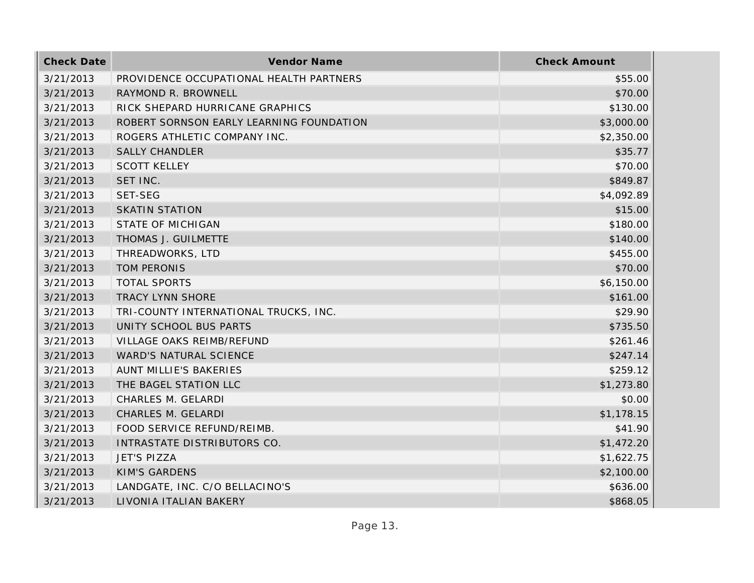| <b>Check Date</b> | Vendor Name                              | <b>Check Amount</b> |
|-------------------|------------------------------------------|---------------------|
| 3/21/2013         | PROVIDENCE OCCUPATIONAL HEALTH PARTNERS  | \$55.00             |
| 3/21/2013         | RAYMOND R. BROWNELL                      | \$70.00             |
| 3/21/2013         | RICK SHEPARD HURRICANE GRAPHICS          | \$130.00            |
| 3/21/2013         | ROBERT SORNSON EARLY LEARNING FOUNDATION | \$3,000.00          |
| 3/21/2013         | ROGERS ATHLETIC COMPANY INC.             | \$2,350.00          |
| 3/21/2013         | <b>SALLY CHANDLER</b>                    | \$35.77             |
| 3/21/2013         | <b>SCOTT KELLEY</b>                      | \$70.00             |
| 3/21/2013         | SET INC.                                 | \$849.87            |
| 3/21/2013         | SET-SEG                                  | \$4,092.89          |
| 3/21/2013         | <b>SKATIN STATION</b>                    | \$15.00             |
| 3/21/2013         | <b>STATE OF MICHIGAN</b>                 | \$180.00            |
| 3/21/2013         | THOMAS J. GUILMETTE                      | \$140.00            |
| 3/21/2013         | THREADWORKS, LTD                         | \$455.00            |
| 3/21/2013         | TOM PERONIS                              | \$70.00             |
| 3/21/2013         | <b>TOTAL SPORTS</b>                      | \$6,150.00          |
| 3/21/2013         | <b>TRACY LYNN SHORE</b>                  | \$161.00            |
| 3/21/2013         | TRI-COUNTY INTERNATIONAL TRUCKS, INC.    | \$29.90             |
| 3/21/2013         | UNITY SCHOOL BUS PARTS                   | \$735.50            |
| 3/21/2013         | VILLAGE OAKS REIMB/REFUND                | \$261.46            |
| 3/21/2013         | <b>WARD'S NATURAL SCIENCE</b>            | \$247.14            |
| 3/21/2013         | AUNT MILLIE'S BAKERIES                   | \$259.12            |
| 3/21/2013         | THE BAGEL STATION LLC                    | \$1,273.80          |
| 3/21/2013         | CHARLES M. GELARDI                       | \$0.00              |
| 3/21/2013         | CHARLES M. GELARDI                       | \$1,178.15          |
| 3/21/2013         | FOOD SERVICE REFUND/REIMB.               | \$41.90             |
| 3/21/2013         | INTRASTATE DISTRIBUTORS CO.              | \$1,472.20          |
| 3/21/2013         | JET'S PIZZA                              | \$1,622.75          |
| 3/21/2013         | <b>KIM'S GARDENS</b>                     | \$2,100.00          |
| 3/21/2013         | LANDGATE, INC. C/O BELLACINO'S           | \$636.00            |
| 3/21/2013         | LIVONIA ITALIAN BAKERY                   | \$868.05            |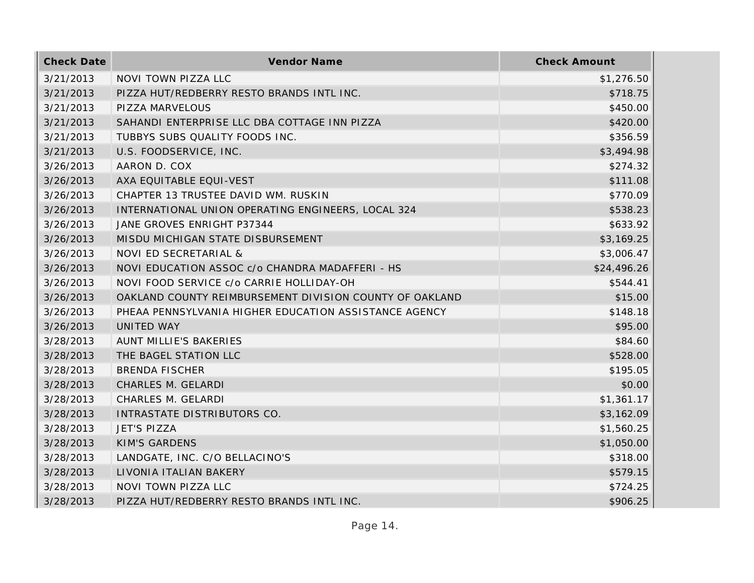| <b>Check Date</b> | Vendor Name                                             | <b>Check Amount</b> |
|-------------------|---------------------------------------------------------|---------------------|
| 3/21/2013         | NOVI TOWN PIZZA LLC                                     | \$1,276.50          |
| 3/21/2013         | PIZZA HUT/REDBERRY RESTO BRANDS INTL INC.               | \$718.75            |
| 3/21/2013         | PIZZA MARVELOUS                                         | \$450.00            |
| 3/21/2013         | SAHANDI ENTERPRISE LLC DBA COTTAGE INN PIZZA            | \$420.00            |
| 3/21/2013         | TUBBYS SUBS QUALITY FOODS INC.                          | \$356.59            |
| 3/21/2013         | U.S. FOODSERVICE, INC.                                  | \$3,494.98          |
| 3/26/2013         | AARON D. COX                                            | \$274.32            |
| 3/26/2013         | AXA EQUITABLE EQUI-VEST                                 | \$111.08            |
| 3/26/2013         | CHAPTER 13 TRUSTEE DAVID WM. RUSKIN                     | \$770.09            |
| 3/26/2013         | INTERNATIONAL UNION OPERATING ENGINEERS, LOCAL 324      | \$538.23            |
| 3/26/2013         | JANE GROVES ENRIGHT P37344                              | \$633.92            |
| 3/26/2013         | MISDU MICHIGAN STATE DISBURSEMENT                       | \$3,169.25          |
| 3/26/2013         | NOVI ED SECRETARIAL &                                   | \$3,006.47          |
| 3/26/2013         | NOVI EDUCATION ASSOC c/o CHANDRA MADAFFERI - HS         | \$24,496.26         |
| 3/26/2013         | NOVI FOOD SERVICE c/o CARRIE HOLLIDAY-OH                | \$544.41            |
| 3/26/2013         | OAKLAND COUNTY REIMBURSEMENT DIVISION COUNTY OF OAKLAND | \$15.00             |
| 3/26/2013         | PHEAA PENNSYLVANIA HIGHER EDUCATION ASSISTANCE AGENCY   | \$148.18            |
| 3/26/2013         | UNITED WAY                                              | \$95.00             |
| 3/28/2013         | AUNT MILLIE'S BAKERIES                                  | \$84.60             |
| 3/28/2013         | THE BAGEL STATION LLC                                   | \$528.00            |
| 3/28/2013         | <b>BRENDA FISCHER</b>                                   | \$195.05            |
| 3/28/2013         | CHARLES M. GELARDI                                      | \$0.00              |
| 3/28/2013         | CHARLES M. GELARDI                                      | \$1,361.17          |
| 3/28/2013         | INTRASTATE DISTRIBUTORS CO.                             | \$3,162.09          |
| 3/28/2013         | <b>JET'S PIZZA</b>                                      | \$1,560.25          |
| 3/28/2013         | <b>KIM'S GARDENS</b>                                    | \$1,050.00          |
| 3/28/2013         | LANDGATE, INC. C/O BELLACINO'S                          | \$318.00            |
| 3/28/2013         | LIVONIA ITALIAN BAKERY                                  | \$579.15            |
| 3/28/2013         | NOVI TOWN PIZZA LLC                                     | \$724.25            |
| 3/28/2013         | PIZZA HUT/REDBERRY RESTO BRANDS INTL INC.               | \$906.25            |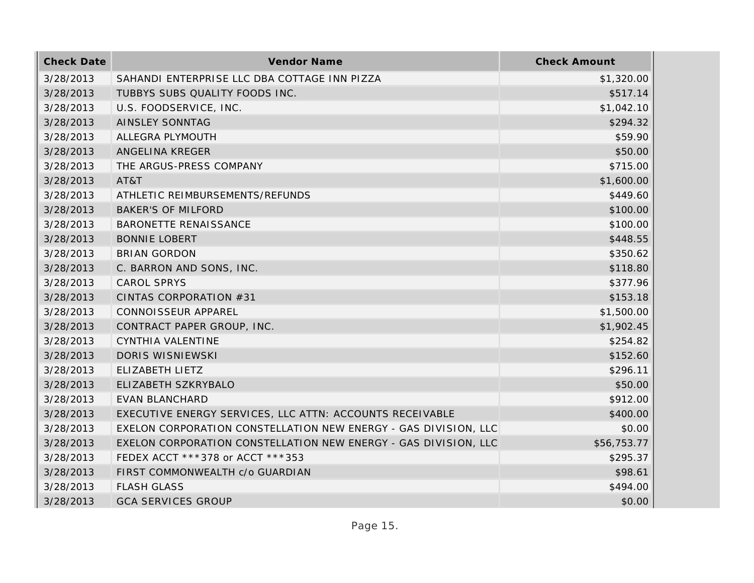| <b>Check Date</b> | <b>Vendor Name</b>                                              | <b>Check Amount</b> |
|-------------------|-----------------------------------------------------------------|---------------------|
| 3/28/2013         | SAHANDI ENTERPRISE LLC DBA COTTAGE INN PIZZA                    | \$1,320.00          |
| 3/28/2013         | TUBBYS SUBS QUALITY FOODS INC.                                  | \$517.14            |
| 3/28/2013         | U.S. FOODSERVICE, INC.                                          | \$1,042.10          |
| 3/28/2013         | <b>AINSLEY SONNTAG</b>                                          | \$294.32            |
| 3/28/2013         | ALLEGRA PLYMOUTH                                                | \$59.90             |
| 3/28/2013         | ANGELINA KREGER                                                 | \$50.00             |
| 3/28/2013         | THE ARGUS-PRESS COMPANY                                         | \$715.00            |
| 3/28/2013         | AT&T                                                            | \$1,600.00          |
| 3/28/2013         | ATHLETIC REIMBURSEMENTS/REFUNDS                                 | \$449.60            |
| 3/28/2013         | <b>BAKER'S OF MILFORD</b>                                       | \$100.00            |
| 3/28/2013         | BARONETTE RENAISSANCE                                           | \$100.00            |
| 3/28/2013         | <b>BONNIE LOBERT</b>                                            | \$448.55            |
| 3/28/2013         | <b>BRIAN GORDON</b>                                             | \$350.62            |
| 3/28/2013         | C. BARRON AND SONS, INC.                                        | \$118.80            |
| 3/28/2013         | <b>CAROL SPRYS</b>                                              | \$377.96            |
| 3/28/2013         | CINTAS CORPORATION #31                                          | \$153.18            |
| 3/28/2013         | CONNOISSEUR APPAREL                                             | \$1,500.00          |
| 3/28/2013         | CONTRACT PAPER GROUP, INC.                                      | \$1,902.45          |
| 3/28/2013         | CYNTHIA VALENTINE                                               | \$254.82            |
| 3/28/2013         | DORIS WISNIEWSKI                                                | \$152.60            |
| 3/28/2013         | ELIZABETH LIETZ                                                 | \$296.11            |
| 3/28/2013         | ELIZABETH SZKRYBALO                                             | \$50.00             |
| 3/28/2013         | <b>EVAN BLANCHARD</b>                                           | \$912.00            |
| 3/28/2013         | EXECUTIVE ENERGY SERVICES, LLC ATTN: ACCOUNTS RECEIVABLE        | \$400.00            |
| 3/28/2013         | EXELON CORPORATION CONSTELLATION NEW ENERGY - GAS DIVISION, LLC | \$0.00              |
| 3/28/2013         | EXELON CORPORATION CONSTELLATION NEW ENERGY - GAS DIVISION, LLC | \$56,753.77         |
| 3/28/2013         | FEDEX ACCT ***378 or ACCT ***353                                | \$295.37            |
| 3/28/2013         | FIRST COMMONWEALTH c/o GUARDIAN                                 | \$98.61             |
| 3/28/2013         | <b>FLASH GLASS</b>                                              | \$494.00            |
| 3/28/2013         | <b>GCA SERVICES GROUP</b>                                       | \$0.00              |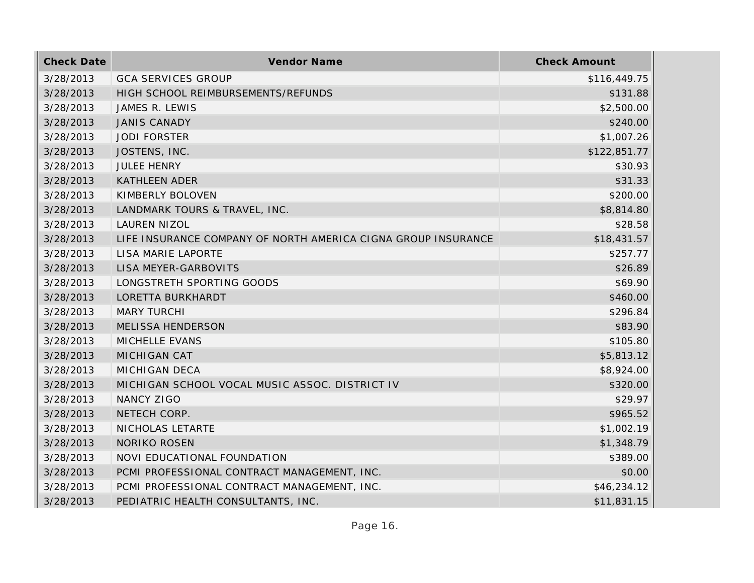| <b>Check Date</b> | Vendor Name                                                   | <b>Check Amount</b> |
|-------------------|---------------------------------------------------------------|---------------------|
| 3/28/2013         | <b>GCA SERVICES GROUP</b>                                     | \$116,449.75        |
| 3/28/2013         | HIGH SCHOOL REIMBURSEMENTS/REFUNDS                            | \$131.88            |
| 3/28/2013         | JAMES R. LEWIS                                                | \$2,500.00          |
| 3/28/2013         | <b>JANIS CANADY</b>                                           | \$240.00            |
| 3/28/2013         | <b>JODI FORSTER</b>                                           | \$1,007.26          |
| 3/28/2013         | JOSTENS, INC.                                                 | \$122,851.77        |
| 3/28/2013         | <b>JULEE HENRY</b>                                            | \$30.93             |
| 3/28/2013         | <b>KATHLEEN ADER</b>                                          | \$31.33             |
| 3/28/2013         | KIMBERLY BOLOVEN                                              | \$200.00            |
| 3/28/2013         | LANDMARK TOURS & TRAVEL, INC.                                 | \$8,814.80          |
| 3/28/2013         | <b>LAUREN NIZOL</b>                                           | \$28.58             |
| 3/28/2013         | LIFE INSURANCE COMPANY OF NORTH AMERICA CIGNA GROUP INSURANCE | \$18,431.57         |
| 3/28/2013         | LISA MARIE LAPORTE                                            | \$257.77            |
| 3/28/2013         | LISA MEYER-GARBOVITS                                          | \$26.89             |
| 3/28/2013         | LONGSTRETH SPORTING GOODS                                     | \$69.90             |
| 3/28/2013         | LORETTA BURKHARDT                                             | \$460.00            |
| 3/28/2013         | <b>MARY TURCHI</b>                                            | \$296.84            |
| 3/28/2013         | MELISSA HENDERSON                                             | \$83.90             |
| 3/28/2013         | MICHELLE EVANS                                                | \$105.80            |
| 3/28/2013         | MICHIGAN CAT                                                  | \$5,813.12          |
| 3/28/2013         | <b>MICHIGAN DECA</b>                                          | \$8,924.00          |
| 3/28/2013         | MICHIGAN SCHOOL VOCAL MUSIC ASSOC. DISTRICT IV                | \$320.00            |
| 3/28/2013         | <b>NANCY ZIGO</b>                                             | \$29.97             |
| 3/28/2013         | NETECH CORP.                                                  | \$965.52            |
| 3/28/2013         | NICHOLAS LETARTE                                              | \$1,002.19          |
| 3/28/2013         | <b>NORIKO ROSEN</b>                                           | \$1,348.79          |
| 3/28/2013         | NOVI EDUCATIONAL FOUNDATION                                   | \$389.00            |
| 3/28/2013         | PCMI PROFESSIONAL CONTRACT MANAGEMENT, INC.                   | \$0.00              |
| 3/28/2013         | PCMI PROFESSIONAL CONTRACT MANAGEMENT, INC.                   | \$46,234.12         |
| 3/28/2013         | PEDIATRIC HEALTH CONSULTANTS, INC.                            | \$11,831.15         |